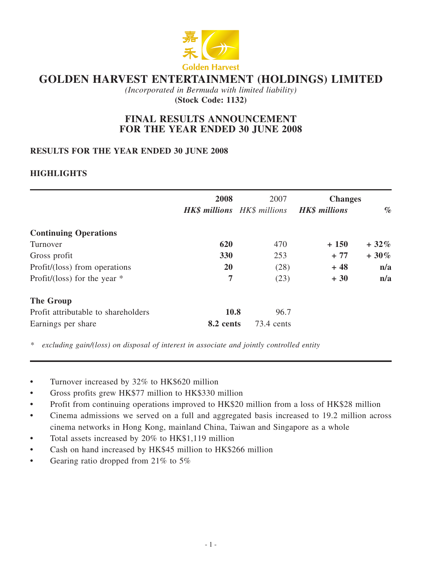

# **GOLDEN HARVEST ENTERTAINMENT (HOLDINGS) LIMITED**

*(Incorporated in Bermuda with limited liability)* **(Stock Code: 1132)**

# **FINAL RESULTS ANNOUNCEMENT FOR THE YEAR ENDED 30 JUNE 2008**

# **RESULTS FOR THE YEAR ENDED 30 June 2008**

# **HIGHLIGHTS**

|                                     | 2008      | 2007                                             | <b>Changes</b> |         |  |
|-------------------------------------|-----------|--------------------------------------------------|----------------|---------|--|
|                                     |           | <b>HK\$</b> millions HK\$ millions HK\$ millions |                | $\%$    |  |
| <b>Continuing Operations</b>        |           |                                                  |                |         |  |
| Turnover                            | 620       | 470                                              | $+150$         | $+32\%$ |  |
| Gross profit                        | 330       | 253                                              | $+77$          | $+30\%$ |  |
| Profit/(loss) from operations       | <b>20</b> | (28)                                             | $+48$          | n/a     |  |
| Profit/(loss) for the year $*$      | 7         | (23)                                             | $+30$          | n/a     |  |
| <b>The Group</b>                    |           |                                                  |                |         |  |
| Profit attributable to shareholders | 10.8      | 96.7                                             |                |         |  |
| Earnings per share                  | 8.2 cents | 73.4 cents                                       |                |         |  |

*\* excluding gain/(loss) on disposal of interest in associate and jointly controlled entity*

- Turnover increased by 32% to HK\$620 million
- **•** Gross profits grew HK\$77 million to HK\$330 million
- Profit from continuing operations improved to HK\$20 million from a loss of HK\$28 million
- **•** Cinema admissions we served on a full and aggregated basis increased to 19.2 million across cinema networks in Hong Kong, mainland China, Taiwan and Singapore as a whole
- Total assets increased by 20% to HK\$1,119 million
- **•** Cash on hand increased by HK\$45 million to HK\$266 million
- Gearing ratio dropped from 21% to 5%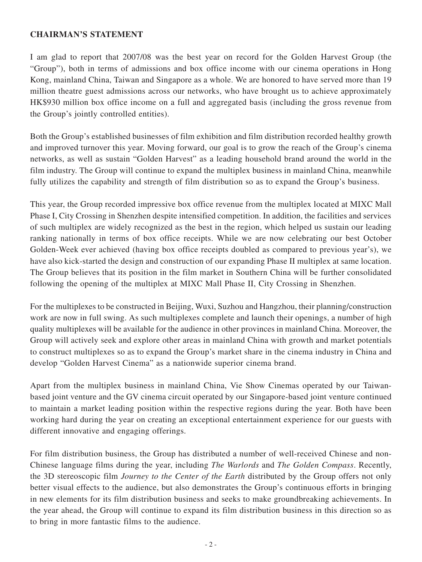## **CHAIRMAN'S STATEMENT**

I am glad to report that 2007/08 was the best year on record for the Golden Harvest Group (the "Group"), both in terms of admissions and box office income with our cinema operations in Hong Kong, mainland China, Taiwan and Singapore as a whole. We are honored to have served more than 19 million theatre guest admissions across our networks, who have brought us to achieve approximately HK\$930 million box office income on a full and aggregated basis (including the gross revenue from the Group's jointly controlled entities).

Both the Group's established businesses of film exhibition and film distribution recorded healthy growth and improved turnover this year. Moving forward, our goal is to grow the reach of the Group's cinema networks, as well as sustain "Golden Harvest" as a leading household brand around the world in the film industry. The Group will continue to expand the multiplex business in mainland China, meanwhile fully utilizes the capability and strength of film distribution so as to expand the Group's business.

This year, the Group recorded impressive box office revenue from the multiplex located at MIXC Mall Phase I, City Crossing in Shenzhen despite intensified competition. In addition, the facilities and services of such multiplex are widely recognized as the best in the region, which helped us sustain our leading ranking nationally in terms of box office receipts. While we are now celebrating our best October Golden-Week ever achieved (having box office receipts doubled as compared to previous year's), we have also kick-started the design and construction of our expanding Phase II multiplex at same location. The Group believes that its position in the film market in Southern China will be further consolidated following the opening of the multiplex at MIXC Mall Phase II, City Crossing in Shenzhen.

For the multiplexes to be constructed in Beijing, Wuxi, Suzhou and Hangzhou, their planning/construction work are now in full swing. As such multiplexes complete and launch their openings, a number of high quality multiplexes will be available for the audience in other provinces in mainland China. Moreover, the Group will actively seek and explore other areas in mainland China with growth and market potentials to construct multiplexes so as to expand the Group's market share in the cinema industry in China and develop "Golden Harvest Cinema" as a nationwide superior cinema brand.

Apart from the multiplex business in mainland China, Vie Show Cinemas operated by our Taiwanbased joint venture and the GV cinema circuit operated by our Singapore-based joint venture continued to maintain a market leading position within the respective regions during the year. Both have been working hard during the year on creating an exceptional entertainment experience for our guests with different innovative and engaging offerings.

For film distribution business, the Group has distributed a number of well-received Chinese and non-Chinese language films during the year, including *The Warlords* and *The Golden Compass*. Recently, the 3D stereoscopic film *Journey to the Center of the Earth* distributed by the Group offers not only better visual effects to the audience, but also demonstrates the Group's continuous efforts in bringing in new elements for its film distribution business and seeks to make groundbreaking achievements. In the year ahead, the Group will continue to expand its film distribution business in this direction so as to bring in more fantastic films to the audience.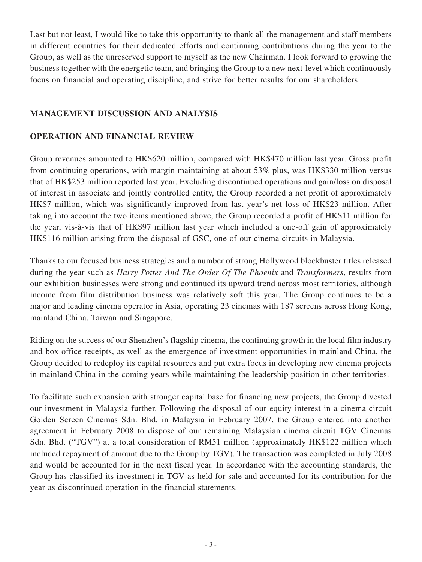Last but not least, I would like to take this opportunity to thank all the management and staff members in different countries for their dedicated efforts and continuing contributions during the year to the Group, as well as the unreserved support to myself as the new Chairman. I look forward to growing the business together with the energetic team, and bringing the Group to a new next-level which continuously focus on financial and operating discipline, and strive for better results for our shareholders.

# **MANAGEMENT DISCUSSION AND ANALYSIS**

# **OPERATION AND FINANCIAL REVIEW**

Group revenues amounted to HK\$620 million, compared with HK\$470 million last year. Gross profit from continuing operations, with margin maintaining at about 53% plus, was HK\$330 million versus that of HK\$253 million reported last year. Excluding discontinued operations and gain/loss on disposal of interest in associate and jointly controlled entity, the Group recorded a net profit of approximately HK\$7 million, which was significantly improved from last year's net loss of HK\$23 million. After taking into account the two items mentioned above, the Group recorded a profit of HK\$11 million for the year, vis-à-vis that of HK\$97 million last year which included a one-off gain of approximately HK\$116 million arising from the disposal of GSC, one of our cinema circuits in Malaysia.

Thanks to our focused business strategies and a number of strong Hollywood blockbuster titles released during the year such as *Harry Potter And The Order Of The Phoenix* and *Transformers*, results from our exhibition businesses were strong and continued its upward trend across most territories, although income from film distribution business was relatively soft this year. The Group continues to be a major and leading cinema operator in Asia, operating 23 cinemas with 187 screens across Hong Kong, mainland China, Taiwan and Singapore.

Riding on the success of our Shenzhen's flagship cinema, the continuing growth in the local film industry and box office receipts, as well as the emergence of investment opportunities in mainland China, the Group decided to redeploy its capital resources and put extra focus in developing new cinema projects in mainland China in the coming years while maintaining the leadership position in other territories.

To facilitate such expansion with stronger capital base for financing new projects, the Group divested our investment in Malaysia further. Following the disposal of our equity interest in a cinema circuit Golden Screen Cinemas Sdn. Bhd. in Malaysia in February 2007, the Group entered into another agreement in February 2008 to dispose of our remaining Malaysian cinema circuit TGV Cinemas Sdn. Bhd. ("TGV") at a total consideration of RM51 million (approximately HK\$122 million which included repayment of amount due to the Group by TGV). The transaction was completed in July 2008 and would be accounted for in the next fiscal year. In accordance with the accounting standards, the Group has classified its investment in TGV as held for sale and accounted for its contribution for the year as discontinued operation in the financial statements.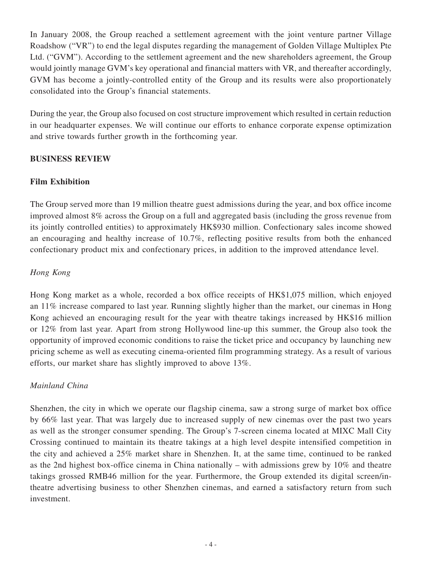In January 2008, the Group reached a settlement agreement with the joint venture partner Village Roadshow ("VR") to end the legal disputes regarding the management of Golden Village Multiplex Pte Ltd. ("GVM"). According to the settlement agreement and the new shareholders agreement, the Group would jointly manage GVM's key operational and financial matters with VR, and thereafter accordingly, GVM has become a jointly-controlled entity of the Group and its results were also proportionately consolidated into the Group's financial statements.

During the year, the Group also focused on cost structure improvement which resulted in certain reduction in our headquarter expenses. We will continue our efforts to enhance corporate expense optimization and strive towards further growth in the forthcoming year.

# **BUSINESS REVIEW**

## **Film Exhibition**

The Group served more than 19 million theatre guest admissions during the year, and box office income improved almost 8% across the Group on a full and aggregated basis (including the gross revenue from its jointly controlled entities) to approximately HK\$930 million. Confectionary sales income showed an encouraging and healthy increase of 10.7%, reflecting positive results from both the enhanced confectionary product mix and confectionary prices, in addition to the improved attendance level.

## *Hong Kong*

Hong Kong market as a whole, recorded a box office receipts of HK\$1,075 million, which enjoyed an 11% increase compared to last year. Running slightly higher than the market, our cinemas in Hong Kong achieved an encouraging result for the year with theatre takings increased by HK\$16 million or 12% from last year. Apart from strong Hollywood line-up this summer, the Group also took the opportunity of improved economic conditions to raise the ticket price and occupancy by launching new pricing scheme as well as executing cinema-oriented film programming strategy. As a result of various efforts, our market share has slightly improved to above 13%.

### *Mainland China*

Shenzhen, the city in which we operate our flagship cinema, saw a strong surge of market box office by 66% last year. That was largely due to increased supply of new cinemas over the past two years as well as the stronger consumer spending. The Group's 7-screen cinema located at MIXC Mall City Crossing continued to maintain its theatre takings at a high level despite intensified competition in the city and achieved a 25% market share in Shenzhen. It, at the same time, continued to be ranked as the 2nd highest box-office cinema in China nationally – with admissions grew by 10% and theatre takings grossed RMB46 million for the year. Furthermore, the Group extended its digital screen/intheatre advertising business to other Shenzhen cinemas, and earned a satisfactory return from such investment.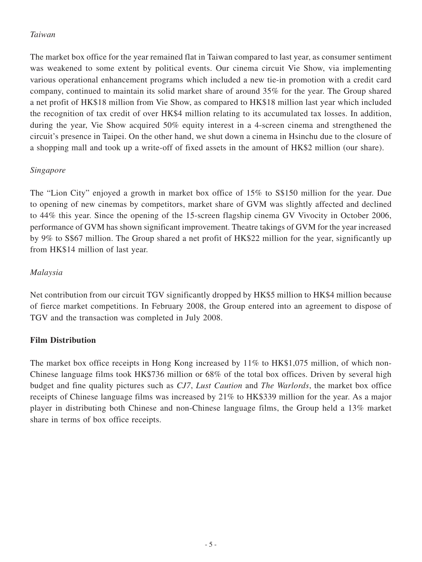# *Taiwan*

The market box office for the year remained flat in Taiwan compared to last year, as consumer sentiment was weakened to some extent by political events. Our cinema circuit Vie Show, via implementing various operational enhancement programs which included a new tie-in promotion with a credit card company, continued to maintain its solid market share of around 35% for the year. The Group shared a net profit of HK\$18 million from Vie Show, as compared to HK\$18 million last year which included the recognition of tax credit of over HK\$4 million relating to its accumulated tax losses. In addition, during the year, Vie Show acquired 50% equity interest in a 4-screen cinema and strengthened the circuit's presence in Taipei. On the other hand, we shut down a cinema in Hsinchu due to the closure of a shopping mall and took up a write-off of fixed assets in the amount of HK\$2 million (our share).

# *Singapore*

The "Lion City" enjoyed a growth in market box office of 15% to S\$150 million for the year. Due to opening of new cinemas by competitors, market share of GVM was slightly affected and declined to 44% this year. Since the opening of the 15-screen flagship cinema GV Vivocity in October 2006, performance of GVM has shown significant improvement. Theatre takings of GVM for the year increased by 9% to S\$67 million. The Group shared a net profit of HK\$22 million for the year, significantly up from HK\$14 million of last year.

# *Malaysia*

Net contribution from our circuit TGV significantly dropped by HK\$5 million to HK\$4 million because of fierce market competitions. In February 2008, the Group entered into an agreement to dispose of TGV and the transaction was completed in July 2008.

# **Film Distribution**

The market box office receipts in Hong Kong increased by 11% to HK\$1,075 million, of which non-Chinese language films took HK\$736 million or 68% of the total box offices. Driven by several high budget and fine quality pictures such as *CJ7*, *Lust Caution* and *The Warlords*, the market box office receipts of Chinese language films was increased by 21% to HK\$339 million for the year. As a major player in distributing both Chinese and non-Chinese language films, the Group held a 13% market share in terms of box office receipts.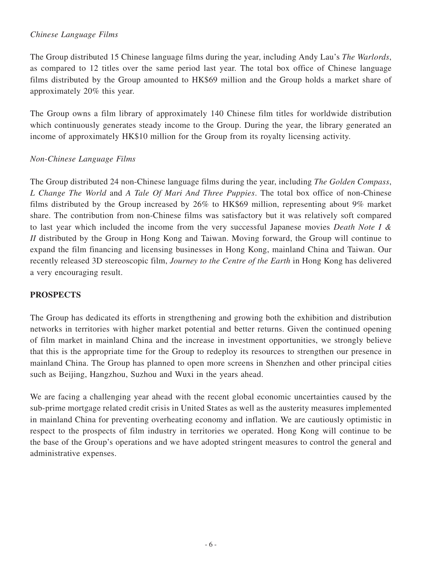# *Chinese Language Films*

The Group distributed 15 Chinese language films during the year, including Andy Lau's *The Warlords*, as compared to 12 titles over the same period last year. The total box office of Chinese language films distributed by the Group amounted to HK\$69 million and the Group holds a market share of approximately 20% this year.

The Group owns a film library of approximately 140 Chinese film titles for worldwide distribution which continuously generates steady income to the Group. During the year, the library generated an income of approximately HK\$10 million for the Group from its royalty licensing activity.

## *Non-Chinese Language Films*

The Group distributed 24 non-Chinese language films during the year, including *The Golden Compass*, *L Change The World* and *A Tale Of Mari And Three Puppies*. The total box office of non-Chinese films distributed by the Group increased by 26% to HK\$69 million, representing about 9% market share. The contribution from non-Chinese films was satisfactory but it was relatively soft compared to last year which included the income from the very successful Japanese movies *Death Note I & II* distributed by the Group in Hong Kong and Taiwan. Moving forward, the Group will continue to expand the film financing and licensing businesses in Hong Kong, mainland China and Taiwan. Our recently released 3D stereoscopic film, *Journey to the Centre of the Earth* in Hong Kong has delivered a very encouraging result.

# **PROSPECTS**

The Group has dedicated its efforts in strengthening and growing both the exhibition and distribution networks in territories with higher market potential and better returns. Given the continued opening of film market in mainland China and the increase in investment opportunities, we strongly believe that this is the appropriate time for the Group to redeploy its resources to strengthen our presence in mainland China. The Group has planned to open more screens in Shenzhen and other principal cities such as Beijing, Hangzhou, Suzhou and Wuxi in the years ahead.

We are facing a challenging year ahead with the recent global economic uncertainties caused by the sub-prime mortgage related credit crisis in United States as well as the austerity measures implemented in mainland China for preventing overheating economy and inflation. We are cautiously optimistic in respect to the prospects of film industry in territories we operated. Hong Kong will continue to be the base of the Group's operations and we have adopted stringent measures to control the general and administrative expenses.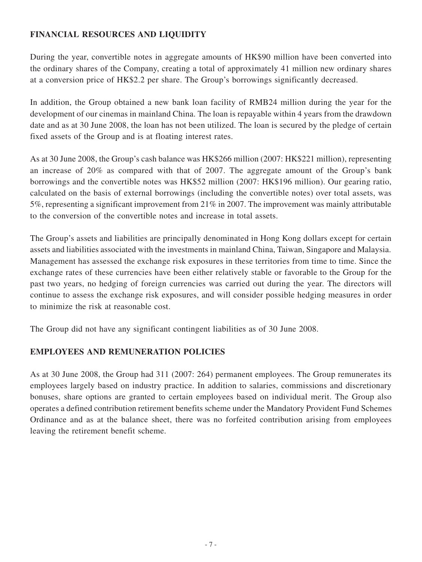# **FINANCIAL RESOURCES AND LIQUIDITY**

During the year, convertible notes in aggregate amounts of HK\$90 million have been converted into the ordinary shares of the Company, creating a total of approximately 41 million new ordinary shares at a conversion price of HK\$2.2 per share. The Group's borrowings significantly decreased.

In addition, the Group obtained a new bank loan facility of RMB24 million during the year for the development of our cinemas in mainland China. The loan is repayable within 4 years from the drawdown date and as at 30 June 2008, the loan has not been utilized. The loan is secured by the pledge of certain fixed assets of the Group and is at floating interest rates.

As at 30 June 2008, the Group's cash balance was HK\$266 million (2007: HK\$221 million), representing an increase of 20% as compared with that of 2007. The aggregate amount of the Group's bank borrowings and the convertible notes was HK\$52 million (2007: HK\$196 million). Our gearing ratio, calculated on the basis of external borrowings (including the convertible notes) over total assets, was 5%, representing a significant improvement from 21% in 2007. The improvement was mainly attributable to the conversion of the convertible notes and increase in total assets.

The Group's assets and liabilities are principally denominated in Hong Kong dollars except for certain assets and liabilities associated with the investments in mainland China, Taiwan, Singapore and Malaysia. Management has assessed the exchange risk exposures in these territories from time to time. Since the exchange rates of these currencies have been either relatively stable or favorable to the Group for the past two years, no hedging of foreign currencies was carried out during the year. The directors will continue to assess the exchange risk exposures, and will consider possible hedging measures in order to minimize the risk at reasonable cost.

The Group did not have any significant contingent liabilities as of 30 June 2008.

# **EMPLOYEES AND REMUNERATION POLICIES**

As at 30 June 2008, the Group had 311 (2007: 264) permanent employees. The Group remunerates its employees largely based on industry practice. In addition to salaries, commissions and discretionary bonuses, share options are granted to certain employees based on individual merit. The Group also operates a defined contribution retirement benefits scheme under the Mandatory Provident Fund Schemes Ordinance and as at the balance sheet, there was no forfeited contribution arising from employees leaving the retirement benefit scheme.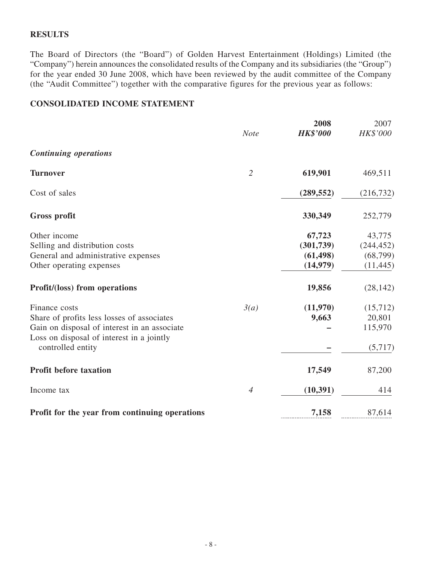## **RESULTS**

The Board of Directors (the "Board") of Golden Harvest Entertainment (Holdings) Limited (the "Company") herein announces the consolidated results of the Company and its subsidiaries (the "Group") for the year ended 30 June 2008, which have been reviewed by the audit committee of the Company (the "Audit Committee") together with the comparative figures for the previous year as follows:

# **CONSOLIDATED INCOME STATEMENT**

|                                                                                           | <b>Note</b>    | 2008<br><b>HK\$'000</b> | 2007<br>HK\$'000 |
|-------------------------------------------------------------------------------------------|----------------|-------------------------|------------------|
|                                                                                           |                |                         |                  |
| <b>Continuing operations</b>                                                              |                |                         |                  |
| <b>Turnover</b>                                                                           | $\overline{2}$ | 619,901                 | 469,511          |
| Cost of sales                                                                             |                | (289, 552)              | (216, 732)       |
| Gross profit                                                                              |                | 330,349                 | 252,779          |
| Other income                                                                              |                | 67,723                  | 43,775           |
| Selling and distribution costs                                                            |                | (301, 739)              | (244, 452)       |
| General and administrative expenses                                                       |                | (61, 498)               | (68, 799)        |
| Other operating expenses                                                                  |                | (14,979)                | (11, 445)        |
| Profit/(loss) from operations                                                             |                | 19,856                  | (28, 142)        |
| Finance costs                                                                             | 3(a)           | (11,970)                | (15,712)         |
| Share of profits less losses of associates                                                |                | 9,663                   | 20,801           |
| Gain on disposal of interest in an associate<br>Loss on disposal of interest in a jointly |                |                         | 115,970          |
| controlled entity                                                                         |                |                         | (5,717)          |
| <b>Profit before taxation</b>                                                             |                | 17,549                  | 87,200           |
| Income tax                                                                                | $\overline{4}$ | (10, 391)               | 414              |
| Profit for the year from continuing operations                                            |                | 7,158                   | 87,614           |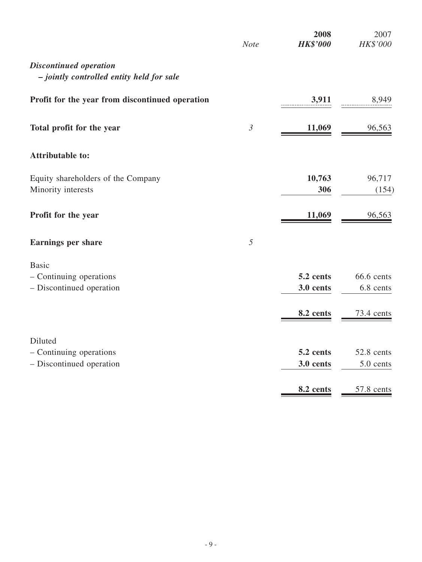|                                                                            | 2008<br><b>HK\$'000</b><br><b>Note</b> | 2007<br>HK\$'000                      |
|----------------------------------------------------------------------------|----------------------------------------|---------------------------------------|
| <b>Discontinued operation</b><br>- jointly controlled entity held for sale |                                        |                                       |
| Profit for the year from discontinued operation                            | 3,911                                  | 8,949                                 |
| Total profit for the year                                                  | $\mathfrak{Z}$<br>11,069               | 96,563                                |
| <b>Attributable to:</b>                                                    |                                        |                                       |
| Equity shareholders of the Company<br>Minority interests                   | 10,763<br>306                          | 96,717<br>(154)                       |
| Profit for the year                                                        | 11,069                                 | 96,563                                |
| <b>Earnings per share</b>                                                  | 5                                      |                                       |
| - Continuing operations<br>- Discontinued operation                        | 5.2 cents<br>3.0 cents<br>8.2 cents    | 66.6 cents<br>6.8 cents<br>73.4 cents |
| - Continuing operations<br>- Discontinued operation                        | 5.2 cents<br>3.0 cents                 | 52.8 cents<br>5.0 cents<br>57.8 cents |
|                                                                            |                                        | 8.2 cents                             |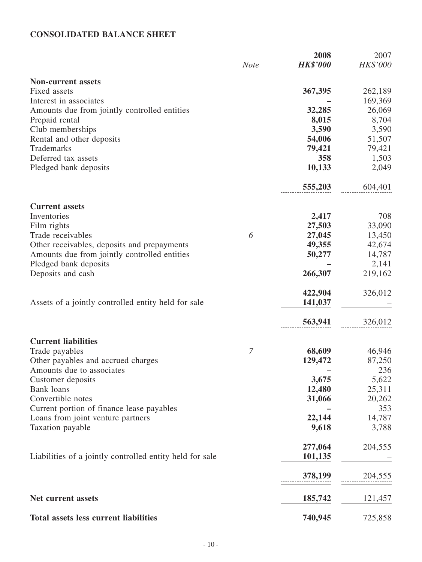# **CONSOLIDATED BALANCE SHEET**

|                                                          |             | 2008            | 2007     |
|----------------------------------------------------------|-------------|-----------------|----------|
|                                                          | <b>Note</b> | <b>HK\$'000</b> | HK\$'000 |
| <b>Non-current assets</b>                                |             |                 |          |
| Fixed assets                                             |             | 367,395         | 262,189  |
| Interest in associates                                   |             |                 | 169,369  |
| Amounts due from jointly controlled entities             |             | 32,285          | 26,069   |
| Prepaid rental                                           |             | 8,015           | 8,704    |
| Club memberships                                         |             | 3,590           | 3,590    |
| Rental and other deposits                                |             | 54,006          | 51,507   |
| Trademarks                                               |             | 79,421          | 79,421   |
| Deferred tax assets                                      |             | 358             | 1,503    |
| Pledged bank deposits                                    |             | 10,133          | 2,049    |
|                                                          |             | 555,203         | 604,401  |
| <b>Current assets</b>                                    |             |                 |          |
| Inventories                                              |             | 2,417           | 708      |
| Film rights                                              |             | 27,503          | 33,090   |
| Trade receivables                                        | 6           | 27,045          | 13,450   |
| Other receivables, deposits and prepayments              |             | 49,355          | 42,674   |
| Amounts due from jointly controlled entities             |             | 50,277          | 14,787   |
| Pledged bank deposits                                    |             |                 | 2,141    |
| Deposits and cash                                        |             | 266,307         | 219,162  |
|                                                          |             | 422,904         | 326,012  |
| Assets of a jointly controlled entity held for sale      |             | 141,037         |          |
|                                                          |             | 563,941         | 326,012  |
| <b>Current liabilities</b>                               |             |                 |          |
| Trade payables                                           | 7           | 68,609          | 46,946   |
| Other payables and accrued charges                       |             | 129,472         | 87,250   |
| Amounts due to associates                                |             |                 | 236      |
|                                                          |             | 3,675           | 5,622    |
| Customer deposits<br><b>Bank</b> loans                   |             | 12,480          | 25,311   |
| Convertible notes                                        |             | 31,066          | 20,262   |
|                                                          |             |                 | 353      |
| Current portion of finance lease payables                |             | 22,144          |          |
| Loans from joint venture partners                        |             |                 | 14,787   |
| Taxation payable                                         |             | 9,618           | 3,788    |
|                                                          |             | 277,064         | 204,555  |
| Liabilities of a jointly controlled entity held for sale |             | 101,135         |          |
|                                                          |             | 378,199         | 204,555  |
|                                                          |             |                 |          |
| Net current assets                                       |             | 185,742         | 121,457  |
| Total assets less current liabilities                    |             | 740,945         | 725,858  |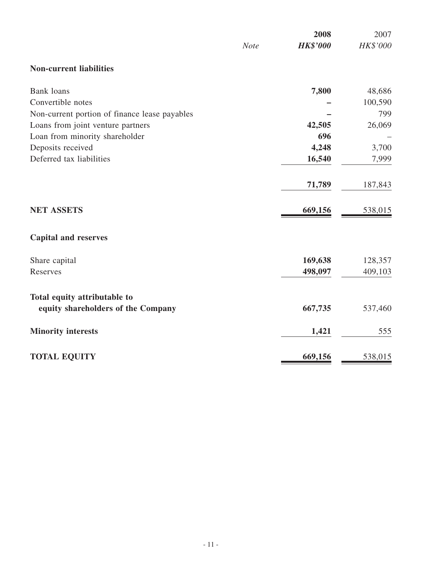|                                               |             | 2008            | 2007     |
|-----------------------------------------------|-------------|-----------------|----------|
|                                               | <b>Note</b> | <b>HK\$'000</b> | HK\$'000 |
| <b>Non-current liabilities</b>                |             |                 |          |
| <b>Bank</b> loans                             |             | 7,800           | 48,686   |
| Convertible notes                             |             |                 | 100,590  |
| Non-current portion of finance lease payables |             |                 | 799      |
| Loans from joint venture partners             |             | 42,505          | 26,069   |
| Loan from minority shareholder                |             | 696             |          |
| Deposits received                             |             | 4,248           | 3,700    |
| Deferred tax liabilities                      |             | 16,540          | 7,999    |
|                                               |             | 71,789          | 187,843  |
| <b>NET ASSETS</b>                             |             | 669,156         | 538,015  |
| <b>Capital and reserves</b>                   |             |                 |          |
| Share capital                                 |             | 169,638         | 128,357  |
| Reserves                                      |             | 498,097         | 409,103  |
| Total equity attributable to                  |             |                 |          |
| equity shareholders of the Company            |             | 667,735         | 537,460  |
| <b>Minority interests</b>                     |             | 1,421           | 555      |
| <b>TOTAL EQUITY</b>                           |             | 669,156         | 538,015  |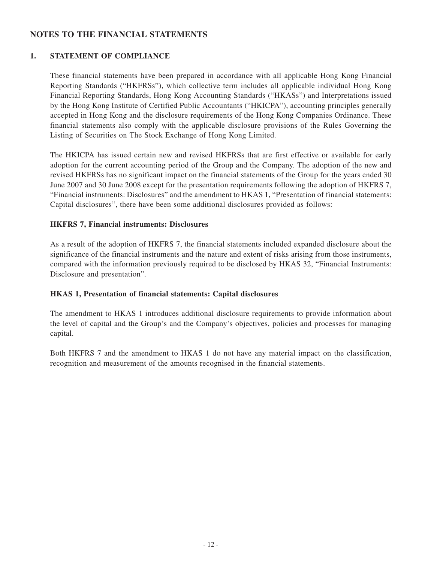# **NOTES TO THE FINANCIAL STATEMENTS**

## **1. STATEMENT OF COMPLIANCE**

These financial statements have been prepared in accordance with all applicable Hong Kong Financial Reporting Standards ("HKFRSs"), which collective term includes all applicable individual Hong Kong Financial Reporting Standards, Hong Kong Accounting Standards ("HKASs") and Interpretations issued by the Hong Kong Institute of Certified Public Accountants ("HKICPA"), accounting principles generally accepted in Hong Kong and the disclosure requirements of the Hong Kong Companies Ordinance. These financial statements also comply with the applicable disclosure provisions of the Rules Governing the Listing of Securities on The Stock Exchange of Hong Kong Limited.

The HKICPA has issued certain new and revised HKFRSs that are first effective or available for early adoption for the current accounting period of the Group and the Company. The adoption of the new and revised HKFRSs has no significant impact on the financial statements of the Group for the years ended 30 June 2007 and 30 June 2008 except for the presentation requirements following the adoption of HKFRS 7, "Financial instruments: Disclosures" and the amendment to HKAS 1, "Presentation of financial statements: Capital disclosures", there have been some additional disclosures provided as follows:

### **HKFRS 7, Financial instruments: Disclosures**

As a result of the adoption of HKFRS 7, the financial statements included expanded disclosure about the significance of the financial instruments and the nature and extent of risks arising from those instruments, compared with the information previously required to be disclosed by HKAS 32, "Financial Instruments: Disclosure and presentation".

### **HKAS 1, Presentation of financial statements: Capital disclosures**

The amendment to HKAS 1 introduces additional disclosure requirements to provide information about the level of capital and the Group's and the Company's objectives, policies and processes for managing capital.

Both HKFRS 7 and the amendment to HKAS 1 do not have any material impact on the classification, recognition and measurement of the amounts recognised in the financial statements.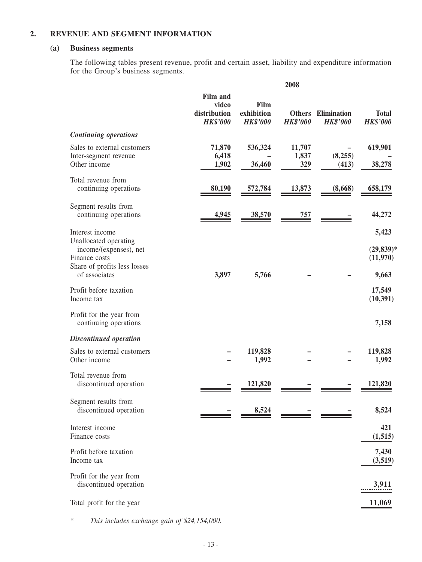#### **2. REVENUE AND SEGMENT INFORMATION**

#### **(a) Business segments**

The following tables present revenue, profit and certain asset, liability and expenditure information for the Group's business segments.

|                                                                                                                                      | 2008                                                        |                                       |                        |                                              |                                             |
|--------------------------------------------------------------------------------------------------------------------------------------|-------------------------------------------------------------|---------------------------------------|------------------------|----------------------------------------------|---------------------------------------------|
|                                                                                                                                      | <b>Film and</b><br>video<br>distribution<br><b>HK\$'000</b> | Film<br>exhibition<br><b>HK\$'000</b> | <b>HK\$'000</b>        | <b>Others</b> Elimination<br><b>HK\$'000</b> | <b>Total</b><br><b>HK\$'000</b>             |
| <b>Continuing operations</b>                                                                                                         |                                                             |                                       |                        |                                              |                                             |
| Sales to external customers<br>Inter-segment revenue<br>Other income                                                                 | 71,870<br>6,418<br>1,902                                    | 536,324<br>36,460                     | 11,707<br>1,837<br>329 | (8,255)<br>(413)                             | 619,901<br>38,278                           |
| Total revenue from<br>continuing operations                                                                                          | 80,190                                                      | 572,784                               | 13,873                 | (8,668)                                      | 658,179                                     |
| Segment results from<br>continuing operations                                                                                        | 4,945                                                       | 38,570                                | 757                    |                                              | 44,272                                      |
| Interest income<br>Unallocated operating<br>income/(expenses), net<br>Finance costs<br>Share of profits less losses<br>of associates | 3,897                                                       | 5,766                                 |                        |                                              | 5,423<br>$(29, 839)^*$<br>(11,970)<br>9,663 |
| Profit before taxation<br>Income tax                                                                                                 |                                                             |                                       |                        |                                              | 17,549<br>(10, 391)                         |
| Profit for the year from<br>continuing operations                                                                                    |                                                             |                                       |                        |                                              | 7,158                                       |
| <b>Discontinued operation</b>                                                                                                        |                                                             |                                       |                        |                                              |                                             |
| Sales to external customers<br>Other income                                                                                          |                                                             | 119,828<br>1,992                      |                        |                                              | 119,828<br>1,992                            |
| Total revenue from<br>discontinued operation                                                                                         |                                                             | 121,820                               |                        |                                              | 121,820                                     |
| Segment results from<br>discontinued operation                                                                                       |                                                             | 8,524                                 |                        |                                              | 8,524                                       |
| Interest income<br>Finance costs                                                                                                     |                                                             |                                       |                        |                                              | 421<br>(1, 515)                             |
| Profit before taxation<br>Income tax                                                                                                 |                                                             |                                       |                        |                                              | 7,430<br>(3,519)                            |
| Profit for the year from<br>discontinued operation                                                                                   |                                                             |                                       |                        |                                              | 3,911                                       |
| Total profit for the year                                                                                                            |                                                             |                                       |                        |                                              | 11,069                                      |

\* *This includes exchange gain of \$24,154,000.*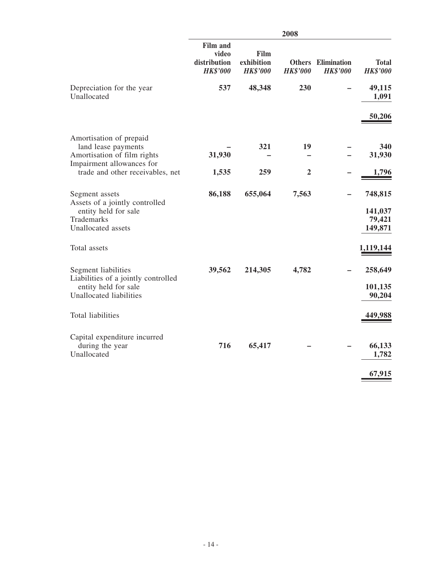|                                                                                                               | 2008                                                        |                                       |                 |                                              |                                         |
|---------------------------------------------------------------------------------------------------------------|-------------------------------------------------------------|---------------------------------------|-----------------|----------------------------------------------|-----------------------------------------|
|                                                                                                               | <b>Film and</b><br>video<br>distribution<br><b>HK\$'000</b> | Film<br>exhibition<br><b>HK\$'000</b> | <b>HK\$'000</b> | <b>Others</b> Elimination<br><b>HK\$'000</b> | <b>Total</b><br><b>HK\$'000</b>         |
| Depreciation for the year<br>Unallocated                                                                      | 537                                                         | 48,348                                | 230             |                                              | 49,115<br>1,091                         |
|                                                                                                               |                                                             |                                       |                 |                                              | 50,206                                  |
| Amortisation of prepaid<br>land lease payments<br>Amortisation of film rights                                 | 31,930                                                      | 321                                   | 19              |                                              | 340<br>31,930                           |
| Impairment allowances for<br>trade and other receivables, net                                                 | 1,535                                                       | 259                                   | $\overline{2}$  |                                              |                                         |
| Segment assets<br>Assets of a jointly controlled<br>entity held for sale<br>Trademarks<br>Unallocated assets  | 86,188                                                      | 655,064                               | 7,563           |                                              | 748,815<br>141,037<br>79,421<br>149,871 |
| Total assets                                                                                                  |                                                             |                                       |                 |                                              | 1,119,144                               |
| Segment liabilities<br>Liabilities of a jointly controlled<br>entity held for sale<br>Unallocated liabilities | 39,562                                                      | 214,305                               | 4,782           |                                              | 258,649<br>101,135<br>90,204            |
| Total liabilities                                                                                             |                                                             |                                       |                 |                                              | 449,988                                 |
| Capital expenditure incurred<br>during the year<br>Unallocated                                                | 716                                                         | 65,417                                |                 |                                              | 66,133<br>1,782<br>67,915               |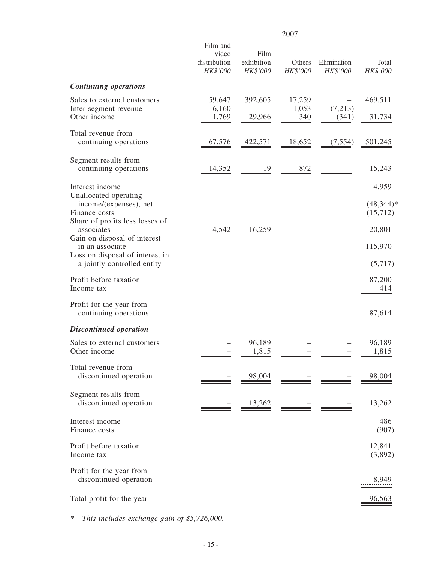|                                                                                                                        |                                               |                                | 2007                   |                         |                                              |
|------------------------------------------------------------------------------------------------------------------------|-----------------------------------------------|--------------------------------|------------------------|-------------------------|----------------------------------------------|
|                                                                                                                        | Film and<br>video<br>distribution<br>HK\$'000 | Film<br>exhibition<br>HK\$'000 | Others<br>HK\$'000     | Elimination<br>HK\$'000 | Total<br>HK\$'000                            |
| <b>Continuing operations</b>                                                                                           |                                               |                                |                        |                         |                                              |
| Sales to external customers<br>Inter-segment revenue<br>Other income                                                   | 59,647<br>6,160<br>1,769                      | 392,605<br>29,966              | 17,259<br>1,053<br>340 | (7,213)<br>(341)        | 469,511<br>31,734                            |
| Total revenue from<br>continuing operations                                                                            | 67,576                                        | 422,571                        | 18,652                 | (7, 554)                | 501,245                                      |
| Segment results from<br>continuing operations                                                                          | 14,352                                        | 19                             | 872                    |                         | 15,243                                       |
| Interest income<br>Unallocated operating<br>income/(expenses), net<br>Finance costs<br>Share of profits less losses of |                                               |                                |                        |                         | 4,959<br>$(48,344)$ <sup>*</sup><br>(15,712) |
| associates<br>Gain on disposal of interest<br>in an associate                                                          | 4,542                                         | 16,259                         |                        |                         | 20,801<br>115,970                            |
| Loss on disposal of interest in<br>a jointly controlled entity                                                         |                                               |                                |                        |                         | (5,717)                                      |
| Profit before taxation<br>Income tax                                                                                   |                                               |                                |                        |                         | 87,200<br>414                                |
| Profit for the year from<br>continuing operations                                                                      |                                               |                                |                        |                         | 87,614                                       |
| <b>Discontinued operation</b>                                                                                          |                                               |                                |                        |                         |                                              |
| Sales to external customers<br>Other income                                                                            |                                               | 96,189<br>1,815                |                        |                         | 96,189<br>1,815                              |
| Total revenue from<br>discontinued operation                                                                           |                                               | 98,004                         |                        |                         | 98,004                                       |
| Segment results from<br>discontinued operation                                                                         |                                               | <u>13,262</u>                  |                        |                         | 13,262                                       |
| Interest income<br>Finance costs                                                                                       |                                               |                                |                        |                         | 486<br>(907)                                 |
| Profit before taxation<br>Income tax                                                                                   |                                               |                                |                        |                         | 12,841<br>(3,892)                            |
| Profit for the year from<br>discontinued operation                                                                     |                                               |                                |                        |                         | 8,949                                        |
| Total profit for the year                                                                                              |                                               |                                |                        |                         | 96,563                                       |

*\* This includes exchange gain of \$5,726,000.*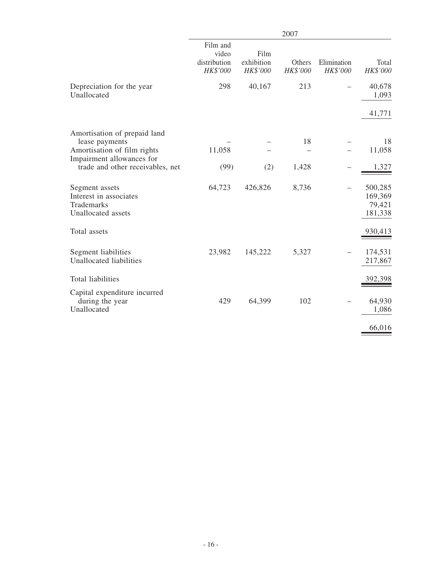|                                                                               | 2007                                          |                                |                    |                         |                                         |
|-------------------------------------------------------------------------------|-----------------------------------------------|--------------------------------|--------------------|-------------------------|-----------------------------------------|
|                                                                               | Film and<br>video<br>distribution<br>HK\$'000 | Film<br>exhibition<br>HK\$'000 | Others<br>HK\$'000 | Elimination<br>HK\$'000 | Total<br>HK\$'000                       |
| Depreciation for the year<br>Unallocated                                      | 298                                           | 40,167                         | 213                |                         | 40,678<br>1,093                         |
|                                                                               |                                               |                                |                    |                         | 41,771                                  |
| Amortisation of prepaid land<br>lease payments<br>Amortisation of film rights | 11,058                                        |                                | 18                 |                         | 18<br>11,058                            |
| Impairment allowances for<br>trade and other receivables, net                 | (99)                                          | (2)                            | 1,428              |                         | 1,327                                   |
| Segment assets<br>Interest in associates<br>Trademarks<br>Unallocated assets  | 64,723                                        | 426,826                        | 8,736              |                         | 500,285<br>169,369<br>79,421<br>181,338 |
| Total assets                                                                  |                                               |                                |                    |                         | 930,413                                 |
| Segment liabilities<br>Unallocated liabilities                                | 23,982                                        | 145,222                        | 5,327              |                         | 174,531<br>217,867                      |
| Total liabilities                                                             |                                               |                                |                    |                         | 392,398                                 |
| Capital expenditure incurred<br>during the year<br>Unallocated                | 429                                           | 64,399                         | 102                |                         | 64,930<br>1,086                         |
|                                                                               |                                               |                                |                    |                         | 66,016                                  |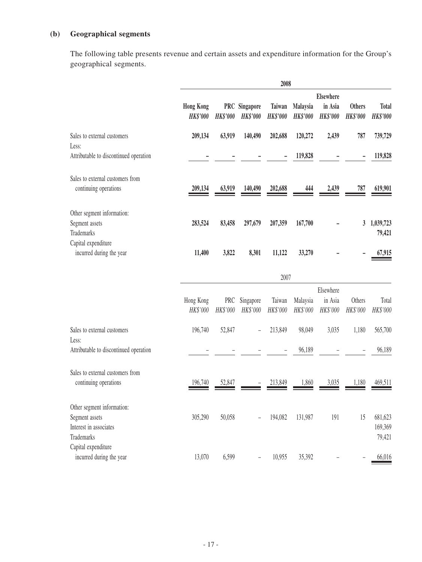# **(b) Geographical segments**

The following table presents revenue and certain assets and expenditure information for the Group's geographical segments.

|                                                                                      | 2008                                |                        |                              |                                  |                             |                            |                                  |                                 |
|--------------------------------------------------------------------------------------|-------------------------------------|------------------------|------------------------------|----------------------------------|-----------------------------|----------------------------|----------------------------------|---------------------------------|
|                                                                                      |                                     |                        |                              |                                  |                             | Elsewhere                  |                                  |                                 |
|                                                                                      | <b>Hong Kong</b><br><b>HK\$'000</b> | PRC<br><b>HK\$'000</b> | Singapore<br><b>HK\$'000</b> | <b>Taiwan</b><br><b>HK\$'000</b> | Malaysia<br><b>HK\$'000</b> | in Asia<br><b>HK\$'000</b> | <b>Others</b><br><b>HK\$'000</b> | <b>Total</b><br><b>HK\$'000</b> |
| Sales to external customers<br>Less:                                                 | 209,134                             | 63,919                 | 140,490                      | 202,688                          | 120,272                     | 2,439                      | 787                              | 739,729                         |
| Attributable to discontinued operation                                               |                                     |                        |                              |                                  | 119,828                     |                            |                                  | 119,828                         |
| Sales to external customers from<br>continuing operations                            | 209,134                             | 63,919                 | 140,490                      | 202,688                          | 444                         | 2,439                      | 787                              | 619,901                         |
| Other segment information:<br>Segment assets<br><b>Trademarks</b>                    | 283,524                             | 83,458                 | 297,679                      | 207,359                          | 167,700                     |                            | 3                                | 1,039,723<br>79,421             |
| Capital expenditure<br>incurred during the year                                      | 11,400                              | 3,822                  | 8,301                        | 11,122                           | 33,270                      |                            |                                  | 67,915                          |
|                                                                                      |                                     |                        |                              | 2007                             |                             |                            |                                  |                                 |
|                                                                                      |                                     |                        |                              |                                  |                             | Elsewhere                  |                                  |                                 |
|                                                                                      | Hong Kong<br>HK\$'000               | PRC<br>HK\$'000        | Singapore<br>HK\$'000        | Taiwan<br>HK\$'000               | Malaysia<br>HK\$'000        | in Asia<br>HK\$'000        | Others<br>HK\$'000               | Total<br>HK\$'000               |
| Sales to external customers<br>Less:                                                 | 196,740                             | 52,847                 |                              | 213,849                          | 98,049                      | 3,035                      | 1,180                            | 565,700                         |
| Attributable to discontinued operation                                               |                                     |                        |                              |                                  | 96,189                      |                            |                                  | 96,189                          |
| Sales to external customers from<br>continuing operations                            | 196,740                             | 52,847                 |                              | 213,849                          | 1,860                       | 3,035                      | 1,180                            | 469,511                         |
| Other segment information:<br>Segment assets<br>Interest in associates<br>Trademarks | 305,290                             | 50,058                 |                              | 194,082                          | 131,987                     | 191                        | 15                               | 681,623<br>169,369<br>79,421    |
| Capital expenditure<br>incurred during the year                                      | 13,070                              | 6,599                  |                              | 10,955                           | 35,392                      |                            |                                  | 66,016                          |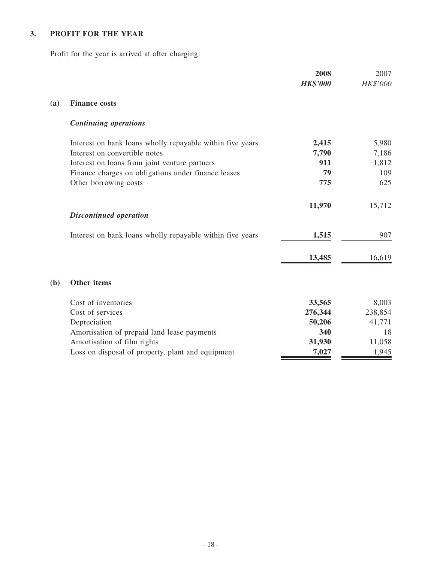# **3. PROFIT FOR THE YEAR**

Profit for the year is arrived at after charging:

|     |                                                           | 2008<br><b>HK\$'000</b> | 2007<br>HK\$'000 |
|-----|-----------------------------------------------------------|-------------------------|------------------|
| (a) | <b>Finance costs</b>                                      |                         |                  |
|     | <b>Continuing operations</b>                              |                         |                  |
|     | Interest on bank loans wholly repayable within five years | 2,415                   | 5,980            |
|     | Interest on convertible notes                             | 7,790                   | 7,186            |
|     | Interest on loans from joint venture partners             | 911                     | 1,812            |
|     | Finance charges on obligations under finance leases       | 79                      | 109              |
|     | Other borrowing costs                                     | 775                     | 625              |
|     |                                                           | 11,970                  | 15,712           |
|     | <b>Discontinued operation</b>                             |                         |                  |
|     | Interest on bank loans wholly repayable within five years | 1,515                   | 907              |
|     |                                                           | 13,485                  | 16,619           |
| (b) | <b>Other items</b>                                        |                         |                  |
|     | Cost of inventories                                       | 33,565                  | 8,003            |
|     | Cost of services                                          | 276,344                 | 238,854          |
|     | Depreciation                                              | 50,206                  | 41,771           |
|     | Amortisation of prepaid land lease payments               | 340                     | 18               |
|     | Amortisation of film rights                               | 31,930                  | 11,058           |
|     | Loss on disposal of property, plant and equipment         | 7,027                   | 1,945            |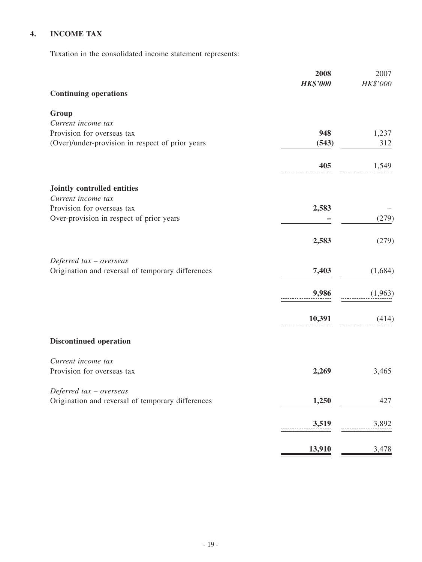# **4. INCOME TAX**

Taxation in the consolidated income statement represents:

|                                                   | 2008            | 2007     |
|---------------------------------------------------|-----------------|----------|
| <b>Continuing operations</b>                      | <b>HK\$'000</b> | HK\$'000 |
|                                                   |                 |          |
| Group                                             |                 |          |
| Current income tax                                |                 |          |
| Provision for overseas tax                        | 948             | 1,237    |
| (Over)/under-provision in respect of prior years  | (543)           | 312      |
|                                                   | 405             | 1,549    |
| Jointly controlled entities                       |                 |          |
| Current income tax                                |                 |          |
| Provision for overseas tax                        | 2,583           |          |
| Over-provision in respect of prior years          |                 | (279)    |
|                                                   | 2,583           | (279)    |
| Deferred $tax -overse$                            |                 |          |
| Origination and reversal of temporary differences | 7,403           | (1,684)  |
|                                                   | 9,986           | (1,963)  |
|                                                   | 10,391          | (414)    |
| <b>Discontinued operation</b>                     |                 |          |
| Current income tax                                |                 |          |
| Provision for overseas tax                        | 2,269           | 3,465    |
| Deferred tax - overseas                           |                 |          |
| Origination and reversal of temporary differences | 1,250           | 427      |
|                                                   | 3,519           | 3,892    |
|                                                   | <u>13,910</u>   | 3,478    |
|                                                   |                 |          |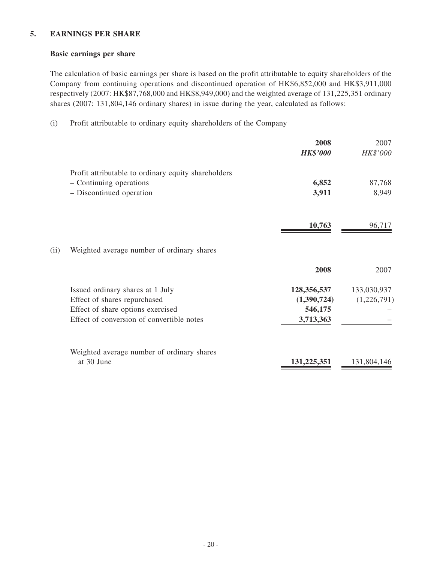#### **5. EARNINGS PER SHARE**

#### **Basic earnings per share**

The calculation of basic earnings per share is based on the profit attributable to equity shareholders of the Company from continuing operations and discontinued operation of HK\$6,852,000 and HK\$3,911,000 respectively (2007: HK\$87,768,000 and HK\$8,949,000) and the weighted average of 131,225,351 ordinary shares (2007: 131,804,146 ordinary shares) in issue during the year, calculated as follows:

(i) Profit attributable to ordinary equity shareholders of the Company

|      |                                                     | 2008<br><b>HK\$'000</b> | 2007<br>HK\$'000 |
|------|-----------------------------------------------------|-------------------------|------------------|
|      | Profit attributable to ordinary equity shareholders |                         |                  |
|      | - Continuing operations                             | 6,852                   | 87,768           |
|      | - Discontinued operation                            | 3,911                   | 8,949            |
|      |                                                     | 10,763                  | 96,717           |
| (ii) | Weighted average number of ordinary shares          |                         |                  |
|      |                                                     | 2008                    | 2007             |
|      | Issued ordinary shares at 1 July                    | 128,356,537             | 133,030,937      |
|      | Effect of shares repurchased                        | (1,390,724)             | (1,226,791)      |
|      | Effect of share options exercised                   | 546,175                 |                  |
|      | Effect of conversion of convertible notes           | 3,713,363               |                  |
|      | Weighted average number of ordinary shares          |                         |                  |
|      | at 30 June                                          | 131,225,351             | 131,804,146      |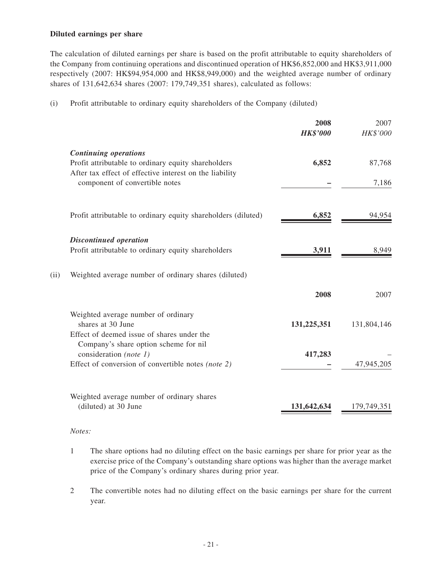#### **Diluted earnings per share**

The calculation of diluted earnings per share is based on the profit attributable to equity shareholders of the Company from continuing operations and discontinued operation of HK\$6,852,000 and HK\$3,911,000 respectively (2007: HK\$94,954,000 and HK\$8,949,000) and the weighted average number of ordinary shares of 131,642,634 shares (2007: 179,749,351 shares), calculated as follows:

(i) Profit attributable to ordinary equity shareholders of the Company (diluted)

|                                                                                                                       | <b>HK\$'000</b>                                                                                                                    | HK\$'000             |
|-----------------------------------------------------------------------------------------------------------------------|------------------------------------------------------------------------------------------------------------------------------------|----------------------|
| <b>Continuing operations</b>                                                                                          | 6,852                                                                                                                              | 87,768               |
| After tax effect of effective interest on the liability<br>component of convertible notes                             |                                                                                                                                    | 7,186                |
| Profit attributable to ordinary equity shareholders (diluted)                                                         | 6,852                                                                                                                              | 94,954               |
| <b>Discontinued operation</b>                                                                                         |                                                                                                                                    | 8,949                |
| Weighted average number of ordinary shares (diluted)                                                                  |                                                                                                                                    |                      |
|                                                                                                                       | 2008                                                                                                                               | 2007                 |
| Weighted average number of ordinary<br>shares at 30 June<br>Effect of deemed issue of shares under the                | 131,225,351                                                                                                                        | 131,804,146          |
| Company's share option scheme for nil<br>consideration (note 1)<br>Effect of conversion of convertible notes (note 2) | 417,283                                                                                                                            | 47,945,205           |
| Weighted average number of ordinary shares                                                                            |                                                                                                                                    | 179,749,35           |
|                                                                                                                       | Profit attributable to ordinary equity shareholders<br>Profit attributable to ordinary equity shareholders<br>(diluted) at 30 June | 3,911<br>131,642,634 |

#### *Notes:*

- 1 The share options had no diluting effect on the basic earnings per share for prior year as the exercise price of the Company's outstanding share options was higher than the average market price of the Company's ordinary shares during prior year.
- 2 The convertible notes had no diluting effect on the basic earnings per share for the current year.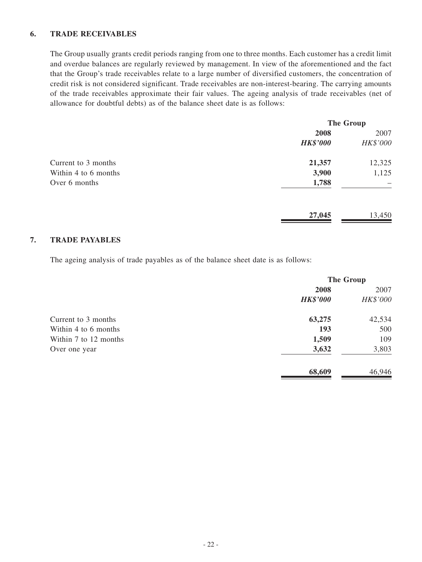#### **6. TRADE RECEIVABLES**

The Group usually grants credit periods ranging from one to three months. Each customer has a credit limit and overdue balances are regularly reviewed by management. In view of the aforementioned and the fact that the Group's trade receivables relate to a large number of diversified customers, the concentration of credit risk is not considered significant. Trade receivables are non-interest-bearing. The carrying amounts of the trade receivables approximate their fair values. The ageing analysis of trade receivables (net of allowance for doubtful debts) as of the balance sheet date is as follows:

|                      | <b>The Group</b> |          |
|----------------------|------------------|----------|
|                      | 2008             | 2007     |
|                      | <b>HK\$'000</b>  | HK\$'000 |
| Current to 3 months  | 21,357           | 12,325   |
| Within 4 to 6 months | 3,900            | 1,125    |
| Over 6 months        | 1,788            |          |
|                      | 27,045           | 13,450   |

#### **7. TRADE PAYABLES**

The ageing analysis of trade payables as of the balance sheet date is as follows:

|                       | <b>The Group</b> |          |
|-----------------------|------------------|----------|
|                       | 2008             | 2007     |
|                       | <b>HK\$'000</b>  | HK\$'000 |
| Current to 3 months   | 63,275           | 42,534   |
| Within 4 to 6 months  | 193              | 500      |
| Within 7 to 12 months | 1,509            | 109      |
| Over one year         | 3,632            | 3,803    |
|                       | 68,609           | 46,946   |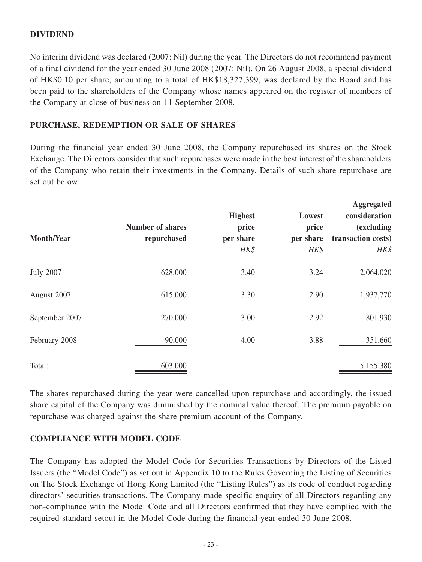# **DIVIDEND**

No interim dividend was declared (2007: Nil) during the year. The Directors do not recommend payment of a final dividend for the year ended 30 June 2008 (2007: Nil). On 26 August 2008, a special dividend of HK\$0.10 per share, amounting to a total of HK\$18,327,399, was declared by the Board and has been paid to the shareholders of the Company whose names appeared on the register of members of the Company at close of business on 11 September 2008.

## **PURCHASE, REDEMPTION OR SALE OF SHARES**

During the financial year ended 30 June 2008, the Company repurchased its shares on the Stock Exchange. The Directors consider that such repurchases were made in the best interest of the shareholders of the Company who retain their investments in the Company. Details of such share repurchase are set out below:

| <b>Month/Year</b> | <b>Number of shares</b><br>repurchased | <b>Highest</b><br>price<br>per share<br>HK\$ | Lowest<br>price<br>per share<br>HK\$ | <b>Aggregated</b><br>consideration<br><i>(excluding)</i><br>transaction costs)<br>$H K$ \$ |
|-------------------|----------------------------------------|----------------------------------------------|--------------------------------------|--------------------------------------------------------------------------------------------|
| <b>July 2007</b>  | 628,000                                | 3.40                                         | 3.24                                 | 2,064,020                                                                                  |
| August 2007       | 615,000                                | 3.30                                         | 2.90                                 | 1,937,770                                                                                  |
| September 2007    | 270,000                                | 3.00                                         | 2.92                                 | 801,930                                                                                    |
| February 2008     | 90,000                                 | 4.00                                         | 3.88                                 | 351,660                                                                                    |
| Total:            | 1,603,000                              |                                              |                                      | 5,155,380                                                                                  |

The shares repurchased during the year were cancelled upon repurchase and accordingly, the issued share capital of the Company was diminished by the nominal value thereof. The premium payable on repurchase was charged against the share premium account of the Company.

### **COMPLIANCE WITH MODEL CODE**

The Company has adopted the Model Code for Securities Transactions by Directors of the Listed Issuers (the "Model Code") as set out in Appendix 10 to the Rules Governing the Listing of Securities on The Stock Exchange of Hong Kong Limited (the "Listing Rules") as its code of conduct regarding directors' securities transactions. The Company made specific enquiry of all Directors regarding any non-compliance with the Model Code and all Directors confirmed that they have complied with the required standard setout in the Model Code during the financial year ended 30 June 2008.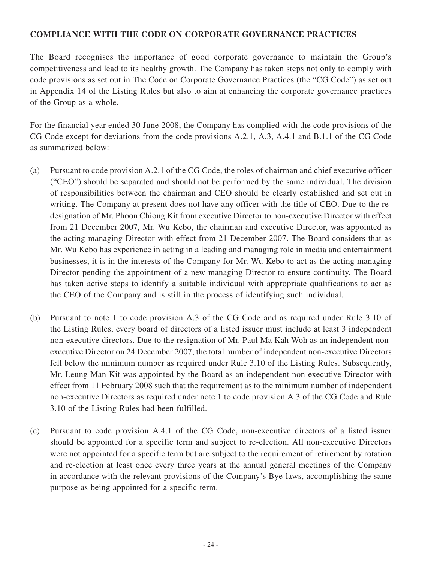# **COMPLIANCE WITH THE CODE ON CORPORATE GOVERNANCE PRACTICES**

The Board recognises the importance of good corporate governance to maintain the Group's competitiveness and lead to its healthy growth. The Company has taken steps not only to comply with code provisions as set out in The Code on Corporate Governance Practices (the "CG Code") as set out in Appendix 14 of the Listing Rules but also to aim at enhancing the corporate governance practices of the Group as a whole.

For the financial year ended 30 June 2008, the Company has complied with the code provisions of the CG Code except for deviations from the code provisions A.2.1, A.3, A.4.1 and B.1.1 of the CG Code as summarized below:

- (a) Pursuant to code provision A.2.1 of the CG Code, the roles of chairman and chief executive officer ("CEO") should be separated and should not be performed by the same individual. The division of responsibilities between the chairman and CEO should be clearly established and set out in writing. The Company at present does not have any officer with the title of CEO. Due to the redesignation of Mr. Phoon Chiong Kit from executive Director to non-executive Director with effect from 21 December 2007, Mr. Wu Kebo, the chairman and executive Director, was appointed as the acting managing Director with effect from 21 December 2007. The Board considers that as Mr. Wu Kebo has experience in acting in a leading and managing role in media and entertainment businesses, it is in the interests of the Company for Mr. Wu Kebo to act as the acting managing Director pending the appointment of a new managing Director to ensure continuity. The Board has taken active steps to identify a suitable individual with appropriate qualifications to act as the CEO of the Company and is still in the process of identifying such individual.
- (b) Pursuant to note 1 to code provision A.3 of the CG Code and as required under Rule 3.10 of the Listing Rules, every board of directors of a listed issuer must include at least 3 independent non-executive directors. Due to the resignation of Mr. Paul Ma Kah Woh as an independent nonexecutive Director on 24 December 2007, the total number of independent non-executive Directors fell below the minimum number as required under Rule 3.10 of the Listing Rules. Subsequently, Mr. Leung Man Kit was appointed by the Board as an independent non-executive Director with effect from 11 February 2008 such that the requirement as to the minimum number of independent non-executive Directors as required under note 1 to code provision A.3 of the CG Code and Rule 3.10 of the Listing Rules had been fulfilled.
- (c) Pursuant to code provision A.4.1 of the CG Code, non-executive directors of a listed issuer should be appointed for a specific term and subject to re-election. All non-executive Directors were not appointed for a specific term but are subject to the requirement of retirement by rotation and re-election at least once every three years at the annual general meetings of the Company in accordance with the relevant provisions of the Company's Bye-laws, accomplishing the same purpose as being appointed for a specific term.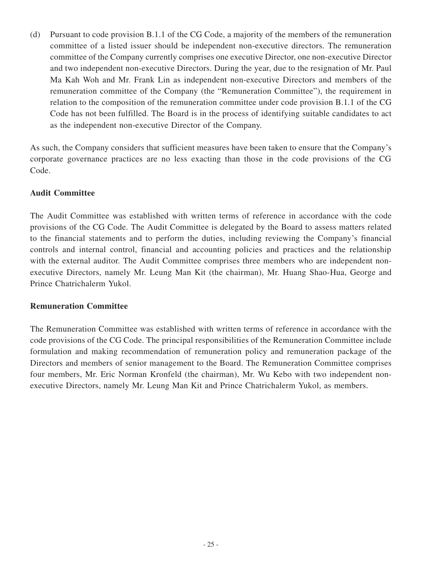(d) Pursuant to code provision B.1.1 of the CG Code, a majority of the members of the remuneration committee of a listed issuer should be independent non-executive directors. The remuneration committee of the Company currently comprises one executive Director, one non-executive Director and two independent non-executive Directors. During the year, due to the resignation of Mr. Paul Ma Kah Woh and Mr. Frank Lin as independent non-executive Directors and members of the remuneration committee of the Company (the "Remuneration Committee"), the requirement in relation to the composition of the remuneration committee under code provision B.1.1 of the CG Code has not been fulfilled. The Board is in the process of identifying suitable candidates to act as the independent non-executive Director of the Company.

As such, the Company considers that sufficient measures have been taken to ensure that the Company's corporate governance practices are no less exacting than those in the code provisions of the CG Code.

# **Audit Committee**

The Audit Committee was established with written terms of reference in accordance with the code provisions of the CG Code. The Audit Committee is delegated by the Board to assess matters related to the financial statements and to perform the duties, including reviewing the Company's financial controls and internal control, financial and accounting policies and practices and the relationship with the external auditor. The Audit Committee comprises three members who are independent nonexecutive Directors, namely Mr. Leung Man Kit (the chairman), Mr. Huang Shao-Hua, George and Prince Chatrichalerm Yukol.

# **Remuneration Committee**

The Remuneration Committee was established with written terms of reference in accordance with the code provisions of the CG Code. The principal responsibilities of the Remuneration Committee include formulation and making recommendation of remuneration policy and remuneration package of the Directors and members of senior management to the Board. The Remuneration Committee comprises four members, Mr. Eric Norman Kronfeld (the chairman), Mr. Wu Kebo with two independent nonexecutive Directors, namely Mr. Leung Man Kit and Prince Chatrichalerm Yukol, as members.